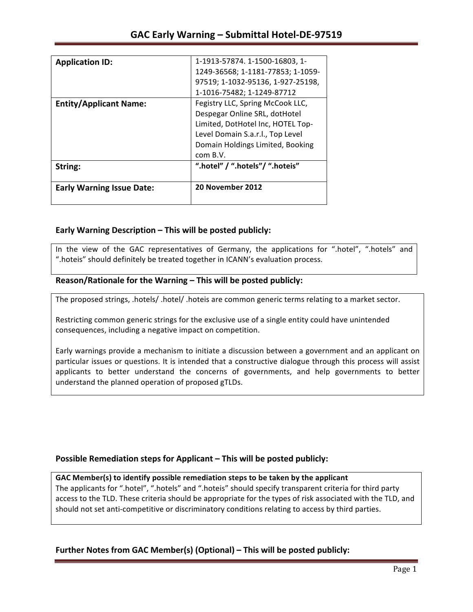| String:<br><b>Early Warning Issue Date:</b> | ".hotel" / ".hotels"/ ".hoteis"<br>20 November 2012 |
|---------------------------------------------|-----------------------------------------------------|
|                                             | com B.V.                                            |
|                                             | Domain Holdings Limited, Booking                    |
|                                             | Level Domain S.a.r.l., Top Level                    |
|                                             | Limited, DotHotel Inc, HOTEL Top-                   |
|                                             | Despegar Online SRL, dotHotel                       |
| <b>Entity/Applicant Name:</b>               | Fegistry LLC, Spring McCook LLC,                    |
|                                             | 1-1016-75482; 1-1249-87712                          |
|                                             | 97519; 1-1032-95136, 1-927-25198,                   |
|                                             | 1249-36568; 1-1181-77853; 1-1059-                   |
| <b>Application ID:</b>                      | 1-1913-57874. 1-1500-16803, 1-                      |

## **Early Warning Description – This will be posted publicly:**

In the view of the GAC representatives of Germany, the applications for ".hotel", ".hotels" and ".hoteis" should definitely be treated together in ICANN's evaluation process.

### Reason/Rationale for the Warning – This will be posted publicly:

The proposed strings, .hotels/ .hotel/ .hoteis are common generic terms relating to a market sector.

Restricting common generic strings for the exclusive use of a single entity could have unintended consequences, including a negative impact on competition.

Early warnings provide a mechanism to initiate a discussion between a government and an applicant on particular issues or questions. It is intended that a constructive dialogue through this process will assist applicants to better understand the concerns of governments, and help governments to better understand the planned operation of proposed gTLDs.

## **Possible Remediation steps for Applicant – This will be posted publicly:**

### GAC Member(s) to identify possible remediation steps to be taken by the applicant

The applicants for ".hotel", ".hotels" and ".hoteis" should specify transparent criteria for third party access to the TLD. These criteria should be appropriate for the types of risk associated with the TLD, and should not set anti-competitive or discriminatory conditions relating to access by third parties.

## **Further Notes from GAC Member(s) (Optional)** – This will be posted publicly: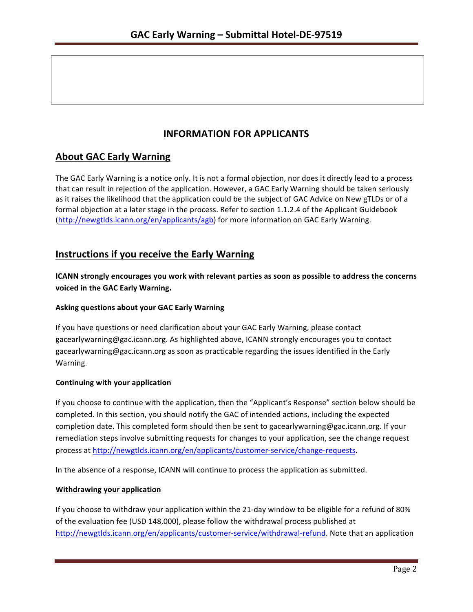# **INFORMATION FOR APPLICANTS**

## **About GAC Early Warning**

The GAC Early Warning is a notice only. It is not a formal objection, nor does it directly lead to a process that can result in rejection of the application. However, a GAC Early Warning should be taken seriously as it raises the likelihood that the application could be the subject of GAC Advice on New gTLDs or of a formal objection at a later stage in the process. Refer to section 1.1.2.4 of the Applicant Guidebook (http://newgtlds.icann.org/en/applicants/agb) for more information on GAC Early Warning.

## **Instructions if you receive the Early Warning**

**ICANN** strongly encourages you work with relevant parties as soon as possible to address the concerns **voiced in the GAC Early Warning.** 

### **Asking questions about your GAC Early Warning**

If you have questions or need clarification about your GAC Early Warning, please contact gacearlywarning@gac.icann.org. As highlighted above, ICANN strongly encourages you to contact gacearlywarning@gac.icann.org as soon as practicable regarding the issues identified in the Early Warning. 

### **Continuing with your application**

If you choose to continue with the application, then the "Applicant's Response" section below should be completed. In this section, you should notify the GAC of intended actions, including the expected completion date. This completed form should then be sent to gacearlywarning@gac.icann.org. If your remediation steps involve submitting requests for changes to your application, see the change request process at http://newgtlds.icann.org/en/applicants/customer-service/change-requests.

In the absence of a response, ICANN will continue to process the application as submitted.

### **Withdrawing your application**

If you choose to withdraw your application within the 21-day window to be eligible for a refund of 80% of the evaluation fee (USD 148,000), please follow the withdrawal process published at http://newgtlds.icann.org/en/applicants/customer-service/withdrawal-refund. Note that an application